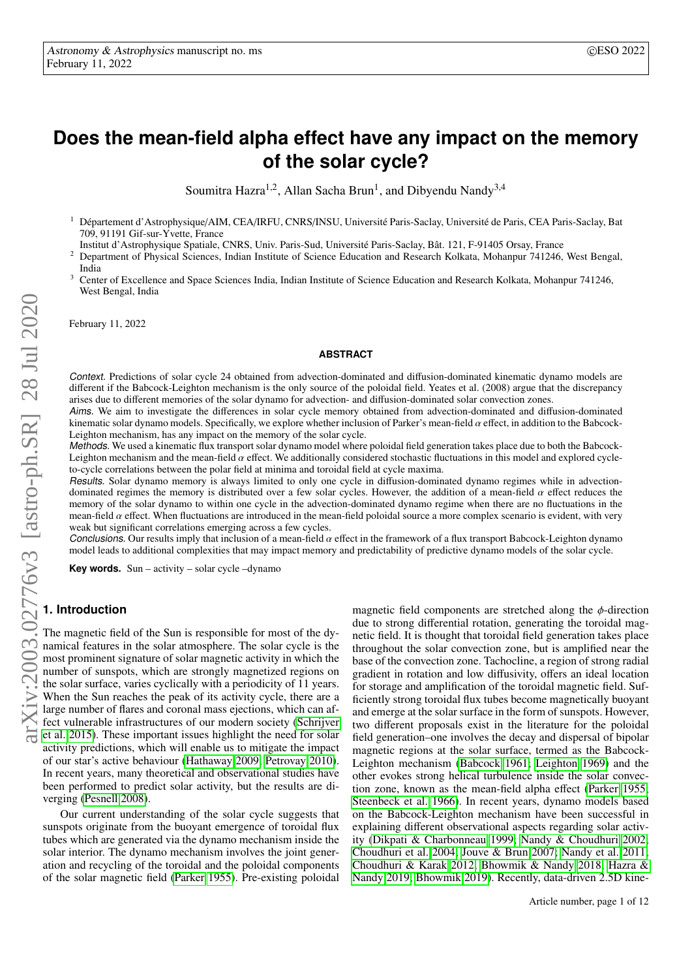# **Does the mean-field alpha effect have any impact on the memory of the solar cycle?**

Soumitra Hazra<sup>1,2</sup>, Allan Sacha Brun<sup>1</sup>, and Dibyendu Nandy<sup>3,4</sup>

<sup>1</sup> Département d'Astrophysique/AIM, CEA/IRFU, CNRS/INSU, Université Paris-Saclay, Université de Paris, CEA Paris-Saclay, Bat 709, 91191 Gif-sur-Yvette, France

Institut d'Astrophysique Spatiale, CNRS, Univ. Paris-Sud, Université Paris-Saclay, Bât. 121, F-91405 Orsay, France

- <sup>2</sup> Department of Physical Sciences, Indian Institute of Science Education and Research Kolkata, Mohanpur 741246, West Bengal, India
- <sup>3</sup> Center of Excellence and Space Sciences India, Indian Institute of Science Education and Research Kolkata, Mohanpur 741246, West Bengal, India

February 11, 2022

#### **ABSTRACT**

Context. Predictions of solar cycle 24 obtained from advection-dominated and diffusion-dominated kinematic dynamo models are different if the Babcock-Leighton mechanism is the only source of the poloidal field. Yeates et al. (2008) argue that the discrepancy arises due to different memories of the solar dynamo for advection- and diffusion-dominated solar convection zones.

Aims. We aim to investigate the differences in solar cycle memory obtained from advection-dominated and diffusion-dominated kinematic solar dynamo models. Specifically, we explore whether inclusion of Parker's mean-field  $\alpha$  effect, in addition to the Babcock-<br>Leighton mechanism, has any impact on the memory of the solar cycle. Leighton mechanism, has any impact on the memory of the solar cycle.

Methods. We used a kinematic flux transport solar dynamo model where poloidal field generation takes place due to both the Babcock-Leighton mechanism and the mean-field  $\alpha$  effect. We additionally considered stochastic fluctuations in this model and explored cycleto-cycle correlations between the polar field at minima and toroidal field at cycle maxima.

Results. Solar dynamo memory is always limited to only one cycle in diffusion-dominated dynamo regimes while in advection-<br>dominated regimes the memory is distributed over a few solar cycles. However, the addition of a me dominated regimes the memory is distributed over a few solar cycles. However, the addition of a mean-field  $\alpha$  effect reduces the memory of the solar dynamo to within one cycle in the advection-dominated dynamo regime wh memory of the solar dynamo to within one cycle in the advection-dominated dynamo regime when there are no fluctuations in the mean-field  $\alpha$  effect. When fluctuations are introduced in the mean-field poloidal source a more complex scenario is evident, with very weak but significant correlations emerging across a few cycles.

**Conclusions.** Our results imply that inclusion of a mean-field  $\alpha$  effect in the framework of a flux transport Babcock-Leighton dynamo models of the solar cycle model leads to additional complexities that may impact mem model leads to additional complexities that may impact memory and predictability of predictive dynamo models of the solar cycle.

**Key words.** Sun – activity – solar cycle –dynamo

## **1. Introduction**

The magnetic field of the Sun is responsible for most of the dynamical features in the solar atmosphere. The solar cycle is the most prominent signature of solar magnetic activity in which the number of sunspots, which are strongly magnetized regions on the solar surface, varies cyclically with a periodicity of 11 years. When the Sun reaches the peak of its activity cycle, there are a large number of flares and coronal mass ejections, which can affect vulnerable infrastructures of our modern society [\(Schrijver](#page-6-0) [et al. 2015\)](#page-6-0). These important issues highlight the need for solar activity predictions, which will enable us to mitigate the impact of our star's active behaviour [\(Hathaway 2009;](#page-6-1) [Petrovay 2010\)](#page-6-2). In recent years, many theoretical and observational studies have been performed to predict solar activity, but the results are diverging [\(Pesnell 2008\)](#page-6-3).

Our current understanding of the solar cycle suggests that sunspots originate from the buoyant emergence of toroidal flux tubes which are generated via the dynamo mechanism inside the solar interior. The dynamo mechanism involves the joint generation and recycling of the toroidal and the poloidal components of the solar magnetic field [\(Parker 1955\)](#page-6-4). Pre-existing poloidal

magnetic field components are stretched along the  $\phi$ -direction due to strong differential rotation, generating the toroidal magnetic field. It is thought that toroidal field generation takes place throughout the solar convection zone, but is amplified near the base of the convection zone. Tachocline, a region of strong radial gradient in rotation and low diffusivity, offers an ideal location for storage and amplification of the toroidal magnetic field. Sufficiently strong toroidal flux tubes become magnetically buoyant and emerge at the solar surface in the form of sunspots. However, two different proposals exist in the literature for the poloidal field generation–one involves the decay and dispersal of bipolar magnetic regions at the solar surface, termed as the Babcock-Leighton mechanism [\(Babcock 1961;](#page-6-5) [Leighton 1969\)](#page-6-6) and the other evokes strong helical turbulence inside the solar convection zone, known as the mean-field alpha effect [\(Parker 1955;](#page-6-4) [Steenbeck et al. 1966\)](#page-6-7). In recent years, dynamo models based on the Babcock-Leighton mechanism have been successful in explaining different observational aspects regarding solar activity [\(Dikpati & Charbonneau 1999;](#page-6-8) [Nandy & Choudhuri 2002;](#page-6-9) [Choudhuri et al. 2004;](#page-6-10) [Jouve & Brun 2007;](#page-6-11) [Nandy et al. 2011;](#page-6-12) [Choudhuri & Karak 2012;](#page-6-13) [Bhowmik & Nandy 2018;](#page-6-14) [Hazra &](#page-6-15) [Nandy 2019;](#page-6-15) [Bhowmik 2019\)](#page-6-16). Recently, data-driven 2.5D kine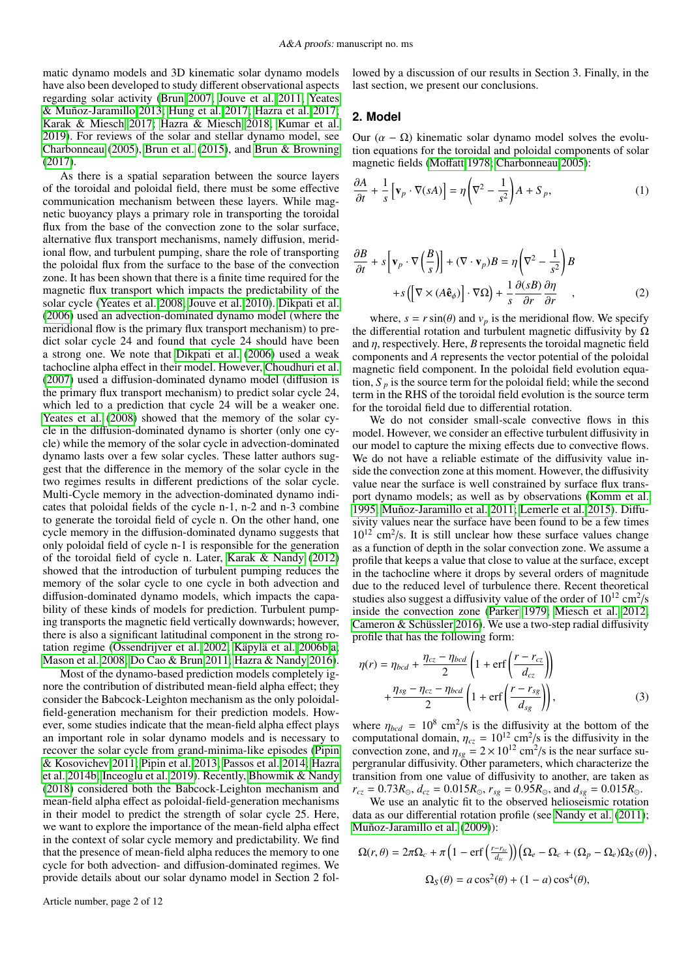matic dynamo models and 3D kinematic solar dynamo models have also been developed to study different observational aspects regarding solar activity [\(Brun 2007;](#page-6-17) [Jouve et al. 2011;](#page-6-18) [Yeates](#page-6-19) [& Muñoz-Jaramillo 2013;](#page-6-19) [Hung et al. 2017;](#page-6-20) [Hazra et al. 2017;](#page-6-21) [Karak & Miesch 2017;](#page-6-22) [Hazra & Miesch 2018;](#page-6-23) [Kumar et al.](#page-6-24) [2019\)](#page-6-24). For reviews of the solar and stellar dynamo model, see [Charbonneau](#page-6-25) [\(2005\)](#page-6-25), [Brun et al.](#page-6-26) [\(2015\)](#page-6-26), and [Brun & Browning](#page-6-27) [\(2017\)](#page-6-27).

As there is a spatial separation between the source layers of the toroidal and poloidal field, there must be some effective communication mechanism between these layers. While magnetic buoyancy plays a primary role in transporting the toroidal flux from the base of the convection zone to the solar surface, alternative flux transport mechanisms, namely diffusion, meridional flow, and turbulent pumping, share the role of transporting the poloidal flux from the surface to the base of the convection zone. It has been shown that there is a finite time required for the magnetic flux transport which impacts the predictability of the solar cycle [\(Yeates et al. 2008;](#page-6-28) [Jouve et al. 2010\)](#page-6-29). [Dikpati et al.](#page-6-30) [\(2006\)](#page-6-30) used an advection-dominated dynamo model (where the meridional flow is the primary flux transport mechanism) to predict solar cycle 24 and found that cycle 24 should have been a strong one. We note that [Dikpati et al.](#page-6-30) [\(2006\)](#page-6-30) used a weak tachocline alpha effect in their model. However, [Choudhuri et al.](#page-6-31) [\(2007\)](#page-6-31) used a diffusion-dominated dynamo model (diffusion is the primary flux transport mechanism) to predict solar cycle 24, which led to a prediction that cycle 24 will be a weaker one. [Yeates et al.](#page-6-28) [\(2008\)](#page-6-28) showed that the memory of the solar cycle in the diffusion-dominated dynamo is shorter (only one cycle) while the memory of the solar cycle in advection-dominated dynamo lasts over a few solar cycles. These latter authors suggest that the difference in the memory of the solar cycle in the two regimes results in different predictions of the solar cycle. Multi-Cycle memory in the advection-dominated dynamo indicates that poloidal fields of the cycle n-1, n-2 and n-3 combine to generate the toroidal field of cycle n. On the other hand, one cycle memory in the diffusion-dominated dynamo suggests that only poloidal field of cycle n-1 is responsible for the generation of the toroidal field of cycle n. Later, [Karak & Nandy](#page-6-32) [\(2012\)](#page-6-32) showed that the introduction of turbulent pumping reduces the memory of the solar cycle to one cycle in both advection and diffusion-dominated dynamo models, which impacts the capability of these kinds of models for prediction. Turbulent pumping transports the magnetic field vertically downwards; however, there is also a significant latitudinal component in the strong rotation regime [\(Ossendrijver et al. 2002;](#page-6-33) [Käpylä et al. 2006b](#page-6-34)[,a;](#page-6-35) [Mason et al. 2008;](#page-6-36) [Do Cao & Brun 2011;](#page-6-37) [Hazra & Nandy 2016\)](#page-6-38).

Most of the dynamo-based prediction models completely ignore the contribution of distributed mean-field alpha effect; they consider the Babcock-Leighton mechanism as the only poloidalfield-generation mechanism for their prediction models. However, some studies indicate that the mean-field alpha effect plays an important role in solar dynamo models and is necessary to recover the solar cycle from grand-minima-like episodes [\(Pipin](#page-6-39) [& Kosovichev 2011;](#page-6-39) [Pipin et al. 2013;](#page-6-40) [Passos et al. 2014;](#page-6-41) [Hazra](#page-6-42) [et al. 2014b;](#page-6-42) [Inceoglu et al. 2019\)](#page-6-43). Recently, [Bhowmik & Nandy](#page-6-14) [\(2018\)](#page-6-14) considered both the Babcock-Leighton mechanism and mean-field alpha effect as poloidal-field-generation mechanisms in their model to predict the strength of solar cycle 25. Here, we want to explore the importance of the mean-field alpha effect in the context of solar cycle memory and predictability. We find that the presence of mean-field alpha reduces the memory to one cycle for both advection- and diffusion-dominated regimes. We provide details about our solar dynamo model in Section 2 fol-

Article number, page 2 of 12

lowed by a discussion of our results in Section 3. Finally, in the last section, we present our conclusions.

#### **2. Model**

Our  $(α – Ω)$  kinematic solar dynamo model solves the evolution equations for the toroidal and poloidal components of solar magnetic fields [\(Mo](#page-6-44)ffatt [1978;](#page-6-44) [Charbonneau 2005\)](#page-6-25):

$$
\frac{\partial A}{\partial t} + \frac{1}{s} \left[ \mathbf{v}_p \cdot \nabla(sA) \right] = \eta \left( \nabla^2 - \frac{1}{s^2} \right) A + S_p,\tag{1}
$$

$$
\frac{\partial B}{\partial t} + s \left[ \mathbf{v}_p \cdot \nabla \left( \frac{B}{s} \right) \right] + (\nabla \cdot \mathbf{v}_p) B = \eta \left( \nabla^2 - \frac{1}{s^2} \right) B
$$

$$
+ s \left( \left[ \nabla \times (A \hat{\mathbf{e}}_{\phi}) \right] \cdot \nabla \Omega \right) + \frac{1}{s} \frac{\partial (sB)}{\partial r} \frac{\partial \eta}{\partial r} , \tag{2}
$$

where,  $s = r \sin(\theta)$  and  $v_p$  is the meridional flow. We specify differential rotation and turbulent magnetic diffusivity by O the differential rotation and turbulent magnetic diffusivity by  $Ω$ and  $\eta$ , respectively. Here,  $B$  represents the toroidal magnetic field components and *A* represents the vector potential of the poloidal magnetic field component. In the poloidal field evolution equation,  $S_p$  is the source term for the poloidal field; while the second term in the RHS of the toroidal field evolution is the source term for the toroidal field due to differential rotation.

We do not consider small-scale convective flows in this model. However, we consider an effective turbulent diffusivity in our model to capture the mixing effects due to convective flows. We do not have a reliable estimate of the diffusivity value inside the convection zone at this moment. However, the diffusivity value near the surface is well constrained by surface flux transport dynamo models; as well as by observations [\(Komm et al.](#page-6-45) [1995;](#page-6-45) [Muñoz-Jaramillo et al. 2011;](#page-6-46) [Lemerle et al. 2015\)](#page-6-47). Diffusivity values near the surface have been found to be a few times  $10^{12}$  cm<sup>2</sup>/s. It is still unclear how these surface values change as a function of depth in the solar convection zone. We assume a profile that keeps a value that close to value at the surface, except in the tachocline where it drops by several orders of magnitude due to the reduced level of turbulence there. Recent theoretical studies also suggest a diffusivity value of the order of  $10^{12}$  cm<sup>2</sup>/s inside the convection zone [\(Parker 1979;](#page-6-48) [Miesch et al. 2012;](#page-6-49) [Cameron & Schüssler 2016\)](#page-6-50). We use a two-step radial diffusivity profile that has the following form:

$$
\eta(r) = \eta_{bcd} + \frac{\eta_{cz} - \eta_{bcd}}{2} \left( 1 + \text{erf}\left(\frac{r - r_{cz}}{d_{cz}}\right) \right)
$$

$$
+ \frac{\eta_{sg} - \eta_{cz} - \eta_{bcd}}{2} \left( 1 + \text{erf}\left(\frac{r - r_{sg}}{d_{sg}}\right) \right),\tag{3}
$$

where  $\eta_{bcd} = 10^8$  cm<sup>2</sup>/s is the diffusivity at the bottom of the computational domain  $n_{cs} = 10^{12}$  cm<sup>2</sup>/s is the diffusivity in the computational domain,  $\eta_{cz} = 10^{12}$  cm<sup>2</sup>/s is the diffusivity in the convection zone, and  $n_{\text{c}} = 2 \times 10^{12}$  cm<sup>2</sup>/s is the near surface suconvection zone, and  $\eta_{sg} = 2 \times 10^{12}$  cm<sup>2</sup>/s is the near surface su-<br>pergrapular diffusivity. Other parameters, which characterize the pergranular diffusivity. Other parameters, which characterize the transition from one value of diffusivity to another, are taken as  $r_{cz} = 0.73R_{\odot}$ ,  $d_{cz} = 0.015R_{\odot}$ ,  $r_{sg} = 0.95R_{\odot}$ , and  $d_{sg} = 0.015R_{\odot}$ .

We use an analytic fit to the observed helioseismic rotation data as our differential rotation profile (see [Nandy et al.](#page-6-12) [\(2011\)](#page-6-12); [Muñoz-Jaramillo et al.](#page-6-51) [\(2009\)](#page-6-51)):

$$
\Omega(r,\theta) = 2\pi\Omega_c + \pi \left(1 - \text{erf}\left(\frac{r - r_{lc}}{d_{lc}}\right)\right) \left(\Omega_e - \Omega_c + (\Omega_p - \Omega_e)\Omega_S(\theta)\right),
$$
  

$$
\Omega_S(\theta) = a\cos^2(\theta) + (1 - a)\cos^4(\theta),
$$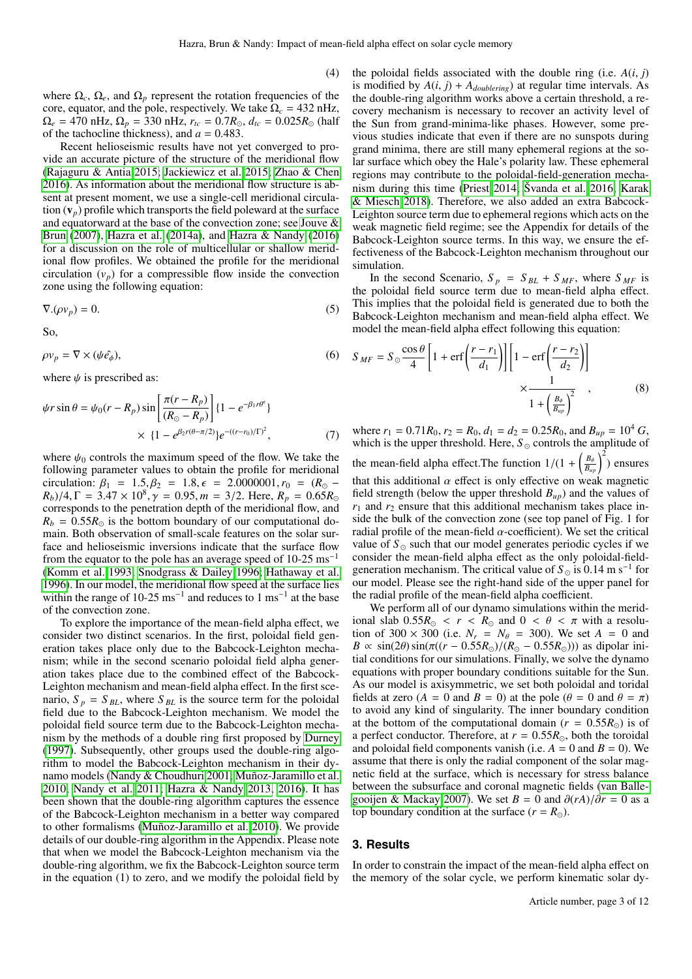(4)

where  $\Omega_c$ ,  $\Omega_e$ , and  $\Omega_p$  represent the rotation frequencies of the core, equator, and the pole, respectively. We take  $\Omega_c = 432$  nHz,  $\Omega_e = 470 \text{ nHz}, \Omega_p = 330 \text{ nHz}, r_{tc} = 0.7 R_{\odot}, d_{tc} = 0.025 R_{\odot}$  (half of the tachocline thickness), and  $a = 0.483$ .

Recent helioseismic results have not yet converged to provide an accurate picture of the structure of the meridional flow [\(Rajaguru & Antia 2015;](#page-6-52) [Jackiewicz et al. 2015;](#page-6-53) [Zhao & Chen](#page-6-54) [2016\)](#page-6-54). As information about the meridional flow structure is absent at present moment, we use a single-cell meridional circulation  $(v_p)$  profile which transports the field poleward at the surface and equatorward at the base of the convection zone; see [Jouve &](#page-6-11) [Brun](#page-6-11) [\(2007\)](#page-6-11), [Hazra et al.](#page-6-55) [\(2014a\)](#page-6-55), and [Hazra & Nandy](#page-6-38) [\(2016\)](#page-6-38) for a discussion on the role of multicellular or shallow meridional flow profiles. We obtained the profile for the meridional circulation  $(v_p)$  for a compressible flow inside the convection zone using the following equation:

$$
\nabla \cdot (\rho v_p) = 0. \tag{5}
$$

So,

$$
\rho v_p = \nabla \times (\psi \hat{e}_{\phi}),\tag{6}
$$

where  $\psi$  is prescribed as:

$$
\psi r \sin \theta = \psi_0 (r - R_p) \sin \left[ \frac{\pi (r - R_p)}{(R_{\odot} - R_p)} \right] \{1 - e^{-\beta_1 r \theta^{\epsilon}} \}
$$

$$
\times \{1 - e^{\beta_2 r (\theta - \pi/2)} \} e^{-(r - r_0)/\Gamma)^2}, \tag{7}
$$

where  $\psi_0$  controls the maximum speed of the flow. We take the following parameter values to obtain the profile for meridional circulation:  $\beta_1 = 1.5, \beta_2 = 1.8, \epsilon = 2.0000001, r_0 = (R_{\odot} (R_b)/4$ ,  $\Gamma = 3.47 \times 10^8$ ,  $\gamma = 0.95$ ,  $m = 3/2$ . Here,  $R_p = 0.65R_c$ <br>corresponds to the penetration depth of the meridional flow and corresponds to the penetration depth of the meridional flow, and  $R_b = 0.55 R_{\odot}$  is the bottom boundary of our computational domain. Both observation of small-scale features on the solar surface and helioseismic inversions indicate that the surface flow from the equator to the pole has an average speed of 10-25 ms<sup>−</sup><sup>1</sup> [\(Komm et al. 1993;](#page-6-56) [Snodgrass & Dailey 1996;](#page-6-57) [Hathaway et al.](#page-6-58) [1996\)](#page-6-58). In our model, the meridional flow speed at the surface lies within the range of 10-25 ms<sup>-1</sup> and reduces to 1 ms<sup>-1</sup> at the base of the convection zone.

To explore the importance of the mean-field alpha effect, we consider two distinct scenarios. In the first, poloidal field generation takes place only due to the Babcock-Leighton mechanism; while in the second scenario poloidal field alpha generation takes place due to the combined effect of the Babcock-Leighton mechanism and mean-field alpha effect. In the first scenario,  $S_p = S_{BL}$ , where  $S_{BL}$  is the source term for the poloidal field due to the Babcock-Leighton mechanism. We model the poloidal field source term due to the Babcock-Leighton mechanism by the methods of a double ring first proposed by [Durney](#page-6-59) [\(1997\)](#page-6-59). Subsequently, other groups used the double-ring algorithm to model the Babcock-Leighton mechanism in their dynamo models [\(Nandy & Choudhuri 2001;](#page-6-60) [Muñoz-Jaramillo et al.](#page-6-61) [2010;](#page-6-61) [Nandy et al. 2011;](#page-6-12) [Hazra & Nandy 2013,](#page-6-62) [2016\)](#page-6-38). It has been shown that the double-ring algorithm captures the essence of the Babcock-Leighton mechanism in a better way compared to other formalisms [\(Muñoz-Jaramillo et al. 2010\)](#page-6-61). We provide details of our double-ring algorithm in the Appendix. Please note that when we model the Babcock-Leighton mechanism via the double-ring algorithm, we fix the Babcock-Leighton source term in the equation (1) to zero, and we modify the poloidal field by

the poloidal fields associated with the double ring (i.e.  $A(i, j)$ ) is modified by  $A(i, j) + A_{doublering}$  at regular time intervals. As the double-ring algorithm works above a certain threshold, a recovery mechanism is necessary to recover an activity level of the Sun from grand-minima-like phases. However, some previous studies indicate that even if there are no sunspots during grand minima, there are still many ephemeral regions at the solar surface which obey the Hale's polarity law. These ephemeral regions may contribute to the poloidal-field-generation mechanism during this time [\(Priest 2014;](#page-6-63) [Švanda et al. 2016;](#page-6-64) [Karak](#page-6-65) [& Miesch 2018\)](#page-6-65). Therefore, we also added an extra Babcock-Leighton source term due to ephemeral regions which acts on the weak magnetic field regime; see the Appendix for details of the Babcock-Leighton source terms. In this way, we ensure the effectiveness of the Babcock-Leighton mechanism throughout our simulation.

In the second Scenario,  $S_p = S_{BL} + S_{MF}$ , where  $S_{MF}$  is the poloidal field source term due to mean-field alpha effect. This implies that the poloidal field is generated due to both the Babcock-Leighton mechanism and mean-field alpha effect. We model the mean-field alpha effect following this equation:

$$
S_{MF} = S_{\odot} \frac{\cos \theta}{4} \left[ 1 + \text{erf} \left( \frac{r - r_1}{d_1} \right) \right] \left[ 1 - \text{erf} \left( \frac{r - r_2}{d_2} \right) \right] \times \frac{1}{1 + \left( \frac{B_{\phi}}{B_{up}} \right)^2},
$$
\n(8)

where  $r_1 = 0.71R_0$ ,  $r_2 = R_0$ ,  $d_1 = d_2 = 0.25R_0$ , and  $B_{up} = 10^4 G$ , which is the upper threshold. Here,  $S_{\odot}$  controls the amplitude of the mean-field alpha effect. The function  $1/(1 + \left(\frac{B_{\phi}}{B_{up}}\right)^2)$  ensures that this additional  $\alpha$  effect is only effective on weak magnetic field strength (below the upper threshold  $B_{up}$ ) and the values of  $r_1$  and  $r_2$  ensure that this additional mechanism takes place inside the bulk of the convection zone (see top panel of Fig. 1 for radial profile of the mean-field  $\alpha$ -coefficient). We set the critical value of  $S_{\odot}$  such that our model generates periodic cycles if we consider the mean-field alpha effect as the only poloidal-fieldgeneration mechanism. The critical value of  $S_{\odot}$  is 0.14 m s<sup>-1</sup> for our model. Please see the right-hand side of the upper panel for the radial profile of the mean-field alpha coefficient.

We perform all of our dynamo simulations within the meridional slab  $0.55R_{\odot} < r < R_{\odot}$  and  $0 < \theta < \pi$  with a resolution of 300 × 300 (i.e.  $N_r = N_\theta = 300$ ). We set  $A = 0$  and  $B \propto \sin(2\theta) \sin(\pi((r - 0.55R_{\odot})/(R_{\odot} - 0.55R_{\odot})))$  as dipolar initial conditions for our simulations. Finally, we solve the dynamo equations with proper boundary conditions suitable for the Sun. As our model is axisymmetric, we set both poloidal and toridal fields at zero  $(A = 0$  and  $B = 0)$  at the pole  $(\theta = 0$  and  $\theta = \pi)$ to avoid any kind of singularity. The inner boundary condition at the bottom of the computational domain ( $r = 0.55R_{\odot}$ ) is of a perfect conductor. Therefore, at  $r = 0.55R_{\odot}$ , both the toroidal and poloidal field components vanish (i.e.  $A = 0$  and  $B = 0$ ). We assume that there is only the radial component of the solar magnetic field at the surface, which is necessary for stress balance between the subsurface and coronal magnetic fields [\(van Balle](#page-6-66)[gooijen & Mackay 2007\)](#page-6-66). We set  $B = 0$  and  $\partial (rA)/\partial r = 0$  as a top boundary condition at the surface  $(r = R_{\odot})$ .

#### **3. Results**

In order to constrain the impact of the mean-field alpha effect on the memory of the solar cycle, we perform kinematic solar dy-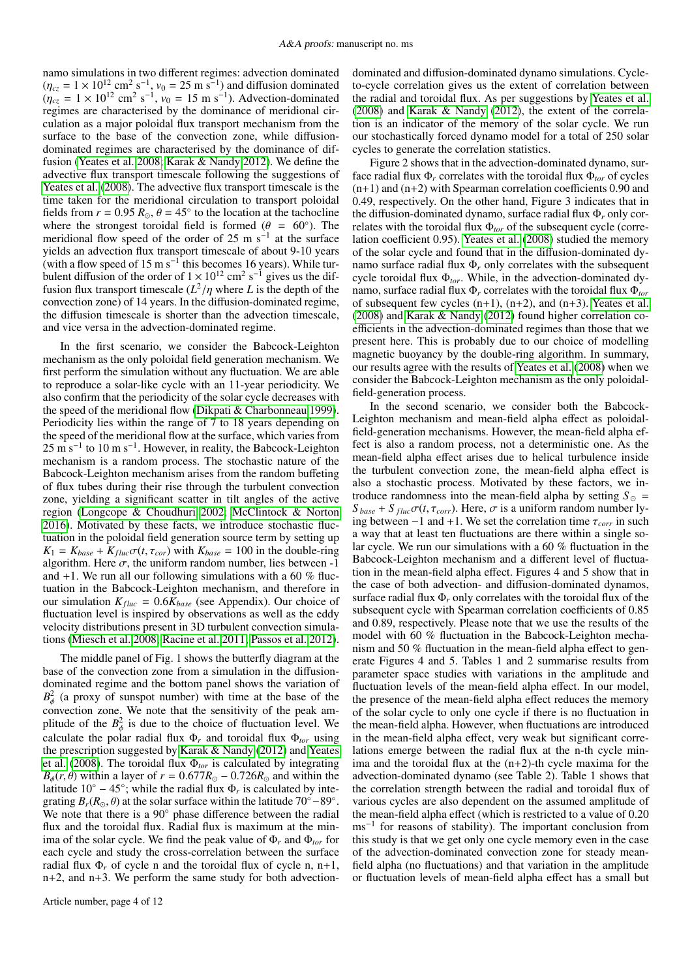namo simulations in two different regimes: advection dominated  $(\eta_{cz} = 1 \times 10^{12} \text{ cm}^2 \text{ s}^{-1}, v_0 = 25 \text{ m s}^{-1})$  and diffusion dominated<br> $(\eta_{zz} = 1 \times 10^{12} \text{ cm}^2 \text{ s}^{-1}, v_0 = 15 \text{ m s}^{-1})$ . Advection-dominated  $(\eta_{cz} = 1 \times 10^{12} \text{ cm}^2 \text{ s}^{-1}, v_0 = 15 \text{ m s}^{-1})$ . Advection-dominated regimes are characterised by the dominance of meridional cirregimes are characterised by the dominance of meridional circulation as a major poloidal flux transport mechanism from the surface to the base of the convection zone, while diffusiondominated regimes are characterised by the dominance of diffusion [\(Yeates et al. 2008;](#page-6-28) [Karak & Nandy 2012\)](#page-6-32). We define the advective flux transport timescale following the suggestions of [Yeates et al.](#page-6-28) [\(2008\)](#page-6-28). The advective flux transport timescale is the time taken for the meridional circulation to transport poloidal fields from  $r = 0.95 R_{\odot}$ ,  $\theta = 45^{\circ}$  to the location at the tachocline<br>where the strongest toroidal field is formed  $(\theta = 60^{\circ})$ . The where the strongest toroidal field is formed ( $\theta = 60^{\circ}$ ). The meridional flow speed of the order of 25 m s<sup>-1</sup> at the surface meridional flow speed of the order of 25 m s<sup>-1</sup> at the surface yields an advection flux transport timescale of about 9-10 years (with a flow speed of 15 m s<sup>-1</sup> this becomes 16 years). While turbulent diffusion of the order of  $1 \times 10^{12}$  cm<sup>2</sup> s<sup>-1</sup> gives us the diffusion flux transport timescale  $(L^2/\eta)$  where *L* is the depth of the convection zone) of 14 years. In the diffusion-dominated regime convection zone) of 14 years. In the diffusion-dominated regime, the diffusion timescale is shorter than the advection timescale, and vice versa in the advection-dominated regime.

In the first scenario, we consider the Babcock-Leighton mechanism as the only poloidal field generation mechanism. We first perform the simulation without any fluctuation. We are able to reproduce a solar-like cycle with an 11-year periodicity. We also confirm that the periodicity of the solar cycle decreases with the speed of the meridional flow [\(Dikpati & Charbonneau 1999\)](#page-6-8). Periodicity lies within the range of 7 to 18 years depending on the speed of the meridional flow at the surface, which varies from  $25 \text{ m s}^{-1}$  to 10 m s<sup>-1</sup>. However, in reality, the Babcock-Leighton mechanism is a random process. The stochastic nature of the Babcock-Leighton mechanism arises from the random buffeting of flux tubes during their rise through the turbulent convection zone, yielding a significant scatter in tilt angles of the active region [\(Longcope & Choudhuri 2002;](#page-6-67) [McClintock & Norton](#page-6-68) [2016\)](#page-6-68). Motivated by these facts, we introduce stochastic fluctuation in the poloidal field generation source term by setting up  $K_1 = K_{base} + K_{fluc} \sigma(t, \tau_{cor})$  with  $K_{base} = 100$  in the double-ring algorithm. Here  $\sigma$ , the uniform random number, lies between -1 and  $+1$ . We run all our following simulations with a 60 % fluctuation in the Babcock-Leighton mechanism, and therefore in our simulation  $K_{fluc} = 0.6K_{base}$  (see Appendix). Our choice of fluctuation level is inspired by observations as well as the eddy velocity distributions present in 3D turbulent convection simulations [\(Miesch et al. 2008;](#page-6-69) [Racine et al. 2011;](#page-6-70) [Passos et al. 2012\)](#page-6-71).

The middle panel of Fig. 1 shows the butterfly diagram at the base of the convection zone from a simulation in the diffusiondominated regime and the bottom panel shows the variation of  $B_{\phi}^2$  (a proxy of sunspot number) with time at the base of the convection zone. We note that the sensitivity of the peak amplitude of the  $B^2_{\phi}$  is due to the choice of fluctuation level. We calculate the polar radial flux  $\Phi_r$  and toroidal flux  $\Phi_{tor}$  using the prescription suggested by [Karak & Nandy](#page-6-32) [\(2012\)](#page-6-32) and [Yeates](#page-6-28) [et al.](#page-6-28) [\(2008\)](#page-6-28). The toroidal flux Φ*tor* is calculated by integrating  $B_{\phi}(r, \theta)$  within a layer of  $r = 0.677 R_{\odot} - 0.726 R_{\odot}$  and within the latitude  $10^{\circ} - 45^{\circ}$ ; while the radial flux  $\Phi_r$  is calculated by integrating  $B_r(R_{\odot}, \theta)$  at the solar surface within the latitude 70°–89°.<br>We note that there is a 90° phase difference between the radial We note that there is a 90◦ phase difference between the radial flux and the toroidal flux. Radial flux is maximum at the minima of the solar cycle. We find the peak value of  $\Phi_r$  and  $\Phi_{tor}$  for each cycle and study the cross-correlation between the surface radial flux  $\Phi_r$  of cycle n and the toroidal flux of cycle n, n+1, n+2, and n+3. We perform the same study for both advection-

dominated and diffusion-dominated dynamo simulations. Cycleto-cycle correlation gives us the extent of correlation between the radial and toroidal flux. As per suggestions by [Yeates et al.](#page-6-28) [\(2008\)](#page-6-28) and [Karak & Nandy](#page-6-32) [\(2012\)](#page-6-32), the extent of the correlation is an indicator of the memory of the solar cycle. We run our stochastically forced dynamo model for a total of 250 solar cycles to generate the correlation statistics.

Figure 2 shows that in the advection-dominated dynamo, surface radial flux  $\Phi_r$  correlates with the toroidal flux  $\Phi_{tor}$  of cycles  $(n+1)$  and  $(n+2)$  with Spearman correlation coefficients 0.90 and 0.49, respectively. On the other hand, Figure 3 indicates that in the diffusion-dominated dynamo, surface radial flux Φ*<sup>r</sup>* only correlates with the toroidal flux Φ*tor* of the subsequent cycle (correlation coefficient 0.95). [Yeates et al.](#page-6-28) [\(2008\)](#page-6-28) studied the memory of the solar cycle and found that in the diffusion-dominated dynamo surface radial flux Φ*<sup>r</sup>* only correlates with the subsequent cycle toroidal flux Φ*tor*. While, in the advection-dominated dynamo, surface radial flux Φ*<sup>r</sup>* correlates with the toroidal flux Φ*tor* of subsequent few cycles  $(n+1)$ ,  $(n+2)$ , and  $(n+3)$ . [Yeates et al.](#page-6-28) [\(2008\)](#page-6-28) and [Karak & Nandy](#page-6-32) [\(2012\)](#page-6-32) found higher correlation coefficients in the advection-dominated regimes than those that we present here. This is probably due to our choice of modelling magnetic buoyancy by the double-ring algorithm. In summary, our results agree with the results of [Yeates et al.](#page-6-28) [\(2008\)](#page-6-28) when we consider the Babcock-Leighton mechanism as the only poloidalfield-generation process.

In the second scenario, we consider both the Babcock-Leighton mechanism and mean-field alpha effect as poloidalfield-generation mechanisms. However, the mean-field alpha effect is also a random process, not a deterministic one. As the mean-field alpha effect arises due to helical turbulence inside the turbulent convection zone, the mean-field alpha effect is also a stochastic process. Motivated by these factors, we introduce randomness into the mean-field alpha by setting  $S_{\odot}$  =  $S_{base} + S_{fluc}\sigma(t, \tau_{corr})$ . Here,  $\sigma$  is a uniform random number lying between  $-1$  and  $+1$ . We set the correlation time  $\tau_{corr}$  in such a way that at least ten fluctuations are there within a single solar cycle. We run our simulations with a 60 % fluctuation in the Babcock-Leighton mechanism and a different level of fluctuation in the mean-field alpha effect. Figures 4 and 5 show that in the case of both advection- and diffusion-dominated dynamos, surface radial flux  $\Phi_r$  only correlates with the toroidal flux of the subsequent cycle with Spearman correlation coefficients of 0.85 and 0.89, respectively. Please note that we use the results of the model with 60 % fluctuation in the Babcock-Leighton mechanism and 50 % fluctuation in the mean-field alpha effect to generate Figures 4 and 5. Tables 1 and 2 summarise results from parameter space studies with variations in the amplitude and fluctuation levels of the mean-field alpha effect. In our model, the presence of the mean-field alpha effect reduces the memory of the solar cycle to only one cycle if there is no fluctuation in the mean-field alpha. However, when fluctuations are introduced in the mean-field alpha effect, very weak but significant correlations emerge between the radial flux at the n-th cycle minima and the toroidal flux at the  $(n+2)$ -th cycle maxima for the advection-dominated dynamo (see Table 2). Table 1 shows that the correlation strength between the radial and toroidal flux of various cycles are also dependent on the assumed amplitude of the mean-field alpha effect (which is restricted to a value of 0.<sup>20</sup> ms<sup>-1</sup> for reasons of stability). The important conclusion from this study is that we get only one cycle memory even in the case of the advection-dominated convection zone for steady meanfield alpha (no fluctuations) and that variation in the amplitude or fluctuation levels of mean-field alpha effect has a small but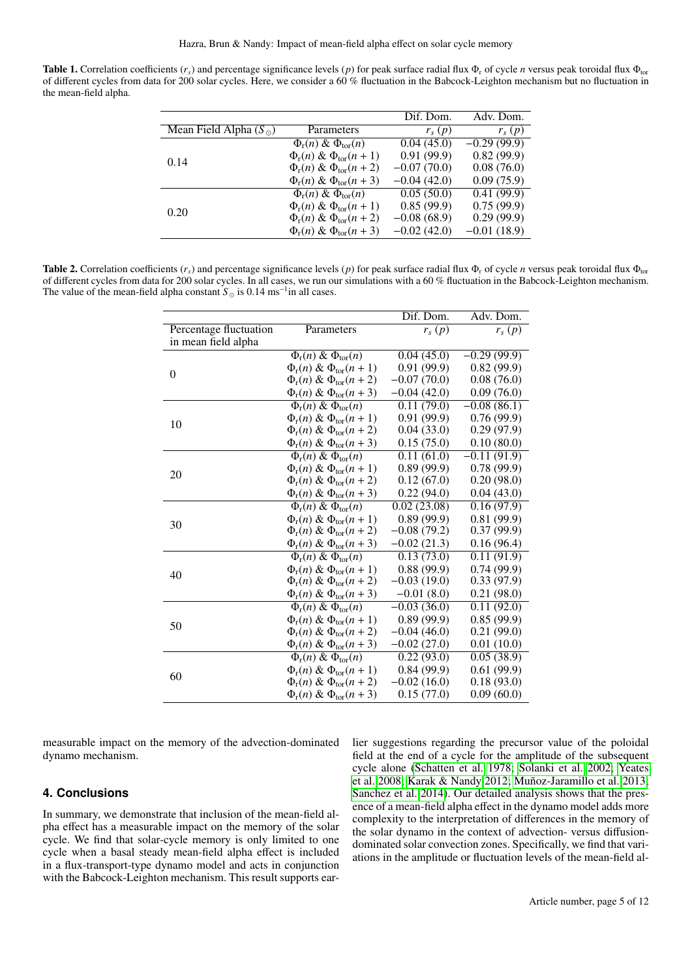Table 1. Correlation coefficients ( $r_s$ ) and percentage significance levels (p) for peak surface radial flux  $\Phi_r$  of cycle *n* versus peak toroidal flux  $\Phi_{\text{tor}}$ of different cycles from data for 200 solar cycles. Here, we consider a 60 % fluctuation in the Babcock-Leighton mechanism but no fluctuation in the mean-field alpha.

|                                |                                | Dif. Dom.     | Adv. Dom.     |
|--------------------------------|--------------------------------|---------------|---------------|
| Mean Field Alpha $(S_{\odot})$ | Parameters                     | $r_s(p)$      | $r_s(p)$      |
| 0.14                           | $\Phi_r(n) \& \Phi_{tor}(n)$   | 0.04(45.0)    | $-0.29(99.9)$ |
|                                | $\Phi_r(n) \& \Phi_{tor}(n+1)$ | 0.91(99.9)    | 0.82(99.9)    |
|                                | $\Phi_r(n) \& \Phi_{tor}(n+2)$ | $-0.07(70.0)$ | 0.08(76.0)    |
|                                | $\Phi_r(n) \& \Phi_{tor}(n+3)$ | $-0.04(42.0)$ | 0.09(75.9)    |
| 0.20                           | $\Phi_r(n) \& \Phi_{tor}(n)$   | 0.05(50.0)    | 0.41(99.9)    |
|                                | $\Phi_r(n) \& \Phi_{tor}(n+1)$ | 0.85(99.9)    | 0.75(99.9)    |
|                                | $\Phi_r(n) \& \Phi_{tor}(n+2)$ | $-0.08(68.9)$ | 0.29(99.9)    |
|                                | $\Phi_r(n) \& \Phi_{tor}(n+3)$ | $-0.02(42.0)$ | $-0.01(18.9)$ |
|                                |                                |               |               |

Table 2. Correlation coefficients  $(r_s)$  and percentage significance levels  $(p)$  for peak surface radial flux  $\Phi_r$  of cycle *n* versus peak toroidal flux  $\Phi_{\text{tor}}$ of different cycles from data for 200 solar cycles. In all cases, we run our simulations with a 60 % fluctuation in the Babcock-Leighton mechanism. The value of the mean-field alpha constant  $S_{\odot}$  is 0.14 ms<sup>-1</sup> in all cases.

|                        |                                           | Dif. Dom.     | Adv. Dom.               |
|------------------------|-------------------------------------------|---------------|-------------------------|
| Percentage fluctuation | Parameters                                | $r_s(p)$      | $r_s(p)$                |
| in mean field alpha    |                                           |               |                         |
| $\overline{0}$         | $\Phi_r(n)$ & $\Phi_{tor}(n)$             | 0.04(45.0)    | $-0.29(99.9)$           |
|                        | $\Phi_{r}(n) \& \Phi_{tor}(n+1)$          | 0.91(99.9)    | 0.82(99.9)              |
|                        | $\Phi_{r}(n) \& \Phi_{tor}(n+2)$          | $-0.07(70.0)$ | 0.08(76.0)              |
|                        | $\Phi_{r}(n) \& \Phi_{tor}(n+3)$          | $-0.04(42.0)$ | 0.09(76.0)              |
| 10                     | $\Phi_{r}(n) \& \Phi_{tor}(n)$            | 0.11(79.0)    | $-0.08(86.1)$           |
|                        | $\Phi_{r}(n) \& \Phi_{tor}(n+1)$          | 0.91(99.9)    | 0.76(99.9)              |
|                        | $\Phi_{r}(n) \& \Phi_{tor}(n+2)$          | 0.04(33.0)    | 0.29(97.9)              |
|                        | $\Phi_{r}(n) \& \Phi_{tor}(n+3)$          | 0.15(75.0)    | 0.10(80.0)              |
|                        | $\Phi_r(n)$ & $\Phi_{tor}(n)$             | 0.11(61.0)    | $-0.11(91.9)$           |
|                        | $\Phi_r(n) \& \Phi_{tor}(n+1)$            | 0.89(99.9)    | 0.78(99.9)              |
| 20                     | $\Phi_r(n) \& \Phi_{tor}(n+2)$            | 0.12(67.0)    | 0.20(98.0)              |
|                        | $\Phi_{r}(n) \& \Phi_{tor}(n+3)$          | 0.22(94.0)    | 0.04(43.0)              |
| 30                     | $\overline{\Phi_{r}(n) \& \Phi_{tor}(n)}$ | 0.02(23.08)   | 0.16(97.9)              |
|                        | $\Phi_r(n) \& \Phi_{tor}(n+1)$            | 0.89(99.9)    | 0.81(99.9)              |
|                        | $\Phi_{r}(n) \& \Phi_{tor}(n+2)$          | $-0.08(79.2)$ | 0.37(99.9)              |
|                        | $\Phi_{r}(n) \& \Phi_{tor}(n+3)$          | $-0.02(21.3)$ | 0.16(96.4)              |
| 40                     | $\overline{\Phi_{r}(n) \& \Phi_{tor}(n)}$ | 0.13(73.0)    | $\overline{0.11(91.9)}$ |
|                        | $\Phi_r(n) \& \Phi_{tor}(n+1)$            | 0.88(99.9)    | 0.74(99.9)              |
|                        | $\Phi_{r}(n) \& \Phi_{tor}(n+2)$          | $-0.03(19.0)$ | 0.33(97.9)              |
|                        | $\Phi_{r}(n) \& \Phi_{tor}(n+3)$          | $-0.01(8.0)$  | 0.21(98.0)              |
| 50                     | $\Phi_r(n) \& \Phi_{tor}(n)$              | $-0.03(36.0)$ | 0.11(92.0)              |
|                        | $\Phi_{r}(n) \& \Phi_{tor}(n+1)$          | 0.89(99.9)    | 0.85(99.9)              |
|                        | $\Phi_r(n) \& \Phi_{tor}(n+2)$            | $-0.04(46.0)$ | 0.21(99.0)              |
|                        | $\Phi_{r}(n) \& \Phi_{tor}(n+3)$          | $-0.02(27.0)$ | 0.01(10.0)              |
| 60                     | $\Phi_r(n) \& \Phi_{tor}(n)$              | 0.22(93.0)    | 0.05(38.9)              |
|                        | $\Phi_{r}(n) \& \Phi_{tor}(n+1)$          | 0.84(99.9)    | 0.61(99.9)              |
|                        | $\Phi_{r}(n) \& \Phi_{tor}(n+2)$          | $-0.02(16.0)$ | 0.18(93.0)              |
|                        | $\Phi_{r}(n) \& \Phi_{tor}(n+3)$          | 0.15(77.0)    | 0.09(60.0)              |
|                        |                                           |               |                         |

measurable impact on the memory of the advection-dominated dynamo mechanism.

## **4. Conclusions**

In summary, we demonstrate that inclusion of the mean-field alpha effect has a measurable impact on the memory of the solar cycle. We find that solar-cycle memory is only limited to one cycle when a basal steady mean-field alpha effect is included in a flux-transport-type dynamo model and acts in conjunction with the Babcock-Leighton mechanism. This result supports earlier suggestions regarding the precursor value of the poloidal field at the end of a cycle for the amplitude of the subsequent cycle alone [\(Schatten et al. 1978;](#page-6-72) [Solanki et al. 2002;](#page-6-73) [Yeates](#page-6-28) [et al. 2008;](#page-6-28) [Karak & Nandy 2012;](#page-6-32) [Muñoz-Jaramillo et al. 2013;](#page-6-74) [Sanchez et al. 2014\)](#page-6-75). Our detailed analysis shows that the presence of a mean-field alpha effect in the dynamo model adds more complexity to the interpretation of differences in the memory of the solar dynamo in the context of advection- versus diffusiondominated solar convection zones. Specifically, we find that variations in the amplitude or fluctuation levels of the mean-field al-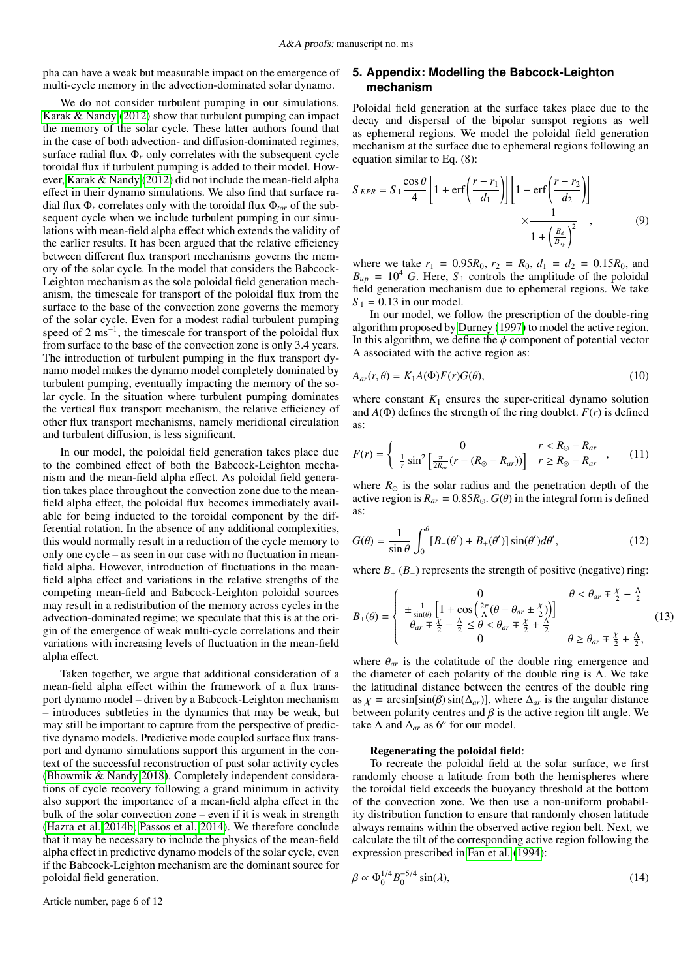pha can have a weak but measurable impact on the emergence of multi-cycle memory in the advection-dominated solar dynamo.

We do not consider turbulent pumping in our simulations. [Karak & Nandy](#page-6-32) [\(2012\)](#page-6-32) show that turbulent pumping can impact the memory of the solar cycle. These latter authors found that in the case of both advection- and diffusion-dominated regimes, surface radial flux  $\Phi_r$  only correlates with the subsequent cycle toroidal flux if turbulent pumping is added to their model. However, [Karak & Nandy](#page-6-32) [\(2012\)](#page-6-32) did not include the mean-field alpha effect in their dynamo simulations. We also find that surface radial flux  $\Phi_r$  correlates only with the toroidal flux  $\Phi_{tor}$  of the subsequent cycle when we include turbulent pumping in our simulations with mean-field alpha effect which extends the validity of the earlier results. It has been argued that the relative efficiency between different flux transport mechanisms governs the memory of the solar cycle. In the model that considers the Babcock-Leighton mechanism as the sole poloidal field generation mechanism, the timescale for transport of the poloidal flux from the surface to the base of the convection zone governs the memory of the solar cycle. Even for a modest radial turbulent pumping speed of 2 ms<sup>-1</sup>, the timescale for transport of the poloidal flux from surface to the base of the convection zone is only 3.4 years. The introduction of turbulent pumping in the flux transport dynamo model makes the dynamo model completely dominated by turbulent pumping, eventually impacting the memory of the solar cycle. In the situation where turbulent pumping dominates the vertical flux transport mechanism, the relative efficiency of other flux transport mechanisms, namely meridional circulation and turbulent diffusion, is less significant.

In our model, the poloidal field generation takes place due to the combined effect of both the Babcock-Leighton mechanism and the mean-field alpha effect. As poloidal field generation takes place throughout the convection zone due to the meanfield alpha effect, the poloidal flux becomes immediately available for being inducted to the toroidal component by the differential rotation. In the absence of any additional complexities, this would normally result in a reduction of the cycle memory to only one cycle – as seen in our case with no fluctuation in meanfield alpha. However, introduction of fluctuations in the meanfield alpha effect and variations in the relative strengths of the competing mean-field and Babcock-Leighton poloidal sources may result in a redistribution of the memory across cycles in the advection-dominated regime; we speculate that this is at the origin of the emergence of weak multi-cycle correlations and their variations with increasing levels of fluctuation in the mean-field alpha effect.

Taken together, we argue that additional consideration of a mean-field alpha effect within the framework of a flux transport dynamo model – driven by a Babcock-Leighton mechanism – introduces subtleties in the dynamics that may be weak, but may still be important to capture from the perspective of predictive dynamo models. Predictive mode coupled surface flux transport and dynamo simulations support this argument in the context of the successful reconstruction of past solar activity cycles [\(Bhowmik & Nandy 2018\)](#page-6-14). Completely independent considerations of cycle recovery following a grand minimum in activity also support the importance of a mean-field alpha effect in the bulk of the solar convection zone – even if it is weak in strength [\(Hazra et al. 2014b;](#page-6-42) [Passos et al. 2014\)](#page-6-41). We therefore conclude that it may be necessary to include the physics of the mean-field alpha effect in predictive dynamo models of the solar cycle, even if the Babcock-Leighton mechanism are the dominant source for poloidal field generation.

Article number, page 6 of 12

# **5. Appendix: Modelling the Babcock-Leighton mechanism**

Poloidal field generation at the surface takes place due to the decay and dispersal of the bipolar sunspot regions as well as ephemeral regions. We model the poloidal field generation mechanism at the surface due to ephemeral regions following an equation similar to Eq. (8):

$$
S_{EPR} = S_1 \frac{\cos \theta}{4} \left[ 1 + \text{erf}\left(\frac{r - r_1}{d_1}\right) \right] \left[ 1 - \text{erf}\left(\frac{r - r_2}{d_2}\right) \right] \times \frac{1}{1 + \left(\frac{B_\theta}{B_{up}}\right)^2},\tag{9}
$$

where we take  $r_1 = 0.95R_0$ ,  $r_2 = R_0$ ,  $d_1 = d_2 = 0.15R_0$ , and  $B_{up} = 10^4$  G. Here,  $S_1$  controls the amplitude of the poloidal field generation mechanism due to ephemeral regions. We take  $S_1 = 0.13$  in our model.

In our model, we follow the prescription of the double-ring algorithm proposed by [Durney](#page-6-59) [\(1997\)](#page-6-59) to model the active region. In this algorithm, we define the  $\phi$  component of potential vector A associated with the active region as:

$$
A_{ar}(r,\theta) = K_1 A(\Phi) F(r) G(\theta),\tag{10}
$$

where constant  $K_1$  ensures the super-critical dynamo solution and  $A(\Phi)$  defines the strength of the ring doublet.  $F(r)$  is defined as:

$$
F(r) = \begin{cases} 0 & r < R_{\odot} - R_{ar} \\ \frac{1}{r} \sin^2 \left[ \frac{\pi}{2R_{ar}} (r - (R_{\odot} - R_{ar})) \right] & r \ge R_{\odot} - R_{ar} \end{cases}
$$
 (11)

where  $R_{\odot}$  is the solar radius and the penetration depth of the active region is  $R_{ar} = 0.85R_{\odot}$ .  $G(\theta)$  in the integral form is defined as:

$$
G(\theta) = \frac{1}{\sin \theta} \int_0^{\theta} [B_{-}(\theta') + B_{+}(\theta')] \sin(\theta') d\theta', \qquad (12)
$$

where  $B_+(B_-)$  represents the strength of positive (negative) ring:

$$
B_{\pm}(\theta) = \begin{cases} 0 & \theta < \theta_{ar} \neq \frac{\chi}{2} - \frac{\Lambda}{2} \\ \frac{\pm \sin(\theta)}{\theta_{ar} + \frac{\chi}{2} - \frac{\Lambda}{2}} \leq \theta < \theta_{ar} \neq \frac{\chi}{2} + \frac{\Lambda}{2} \\ 0 & \theta \geq \theta_{ar} \neq \frac{\chi}{2} + \frac{\Lambda}{2}, \end{cases}
$$
(13)

where  $\theta_{ar}$  is the colatitude of the double ring emergence and the diameter of each polarity of the double ring is  $\Lambda$ . We take the latitudinal distance between the centres of the double ring as  $\chi$  = arcsin[sin( $\beta$ ) sin( $\Delta_{ar}$ )], where  $\Delta_{ar}$  is the angular distance between polarity centres and  $\beta$  is the active region tilt angle. We take  $\Lambda$  and  $\Delta_{ar}$  as 6<sup>*o*</sup> for our model.

#### Regenerating the poloidal field:

To recreate the poloidal field at the solar surface, we first randomly choose a latitude from both the hemispheres where the toroidal field exceeds the buoyancy threshold at the bottom of the convection zone. We then use a non-uniform probability distribution function to ensure that randomly chosen latitude always remains within the observed active region belt. Next, we calculate the tilt of the corresponding active region following the expression prescribed in [Fan et al.](#page-6-76) [\(1994\)](#page-6-76):

$$
\beta \propto \Phi_0^{1/4} B_0^{-5/4} \sin(\lambda),\tag{14}
$$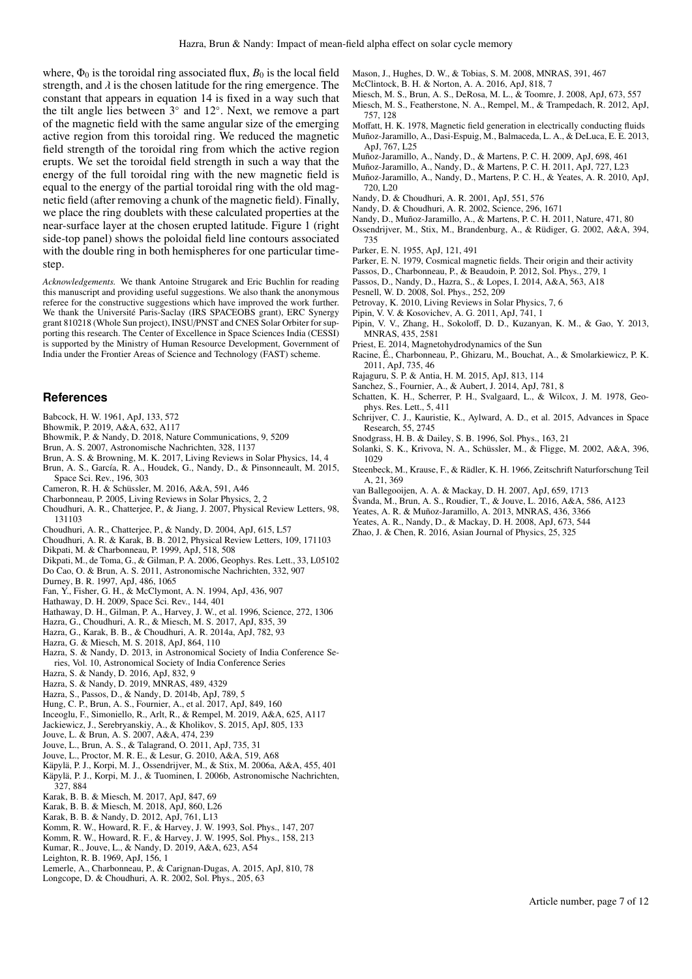where,  $\Phi_0$  is the toroidal ring associated flux,  $B_0$  is the local field strength, and  $\lambda$  is the chosen latitude for the ring emergence. The constant that appears in equation 14 is fixed in a way such that the tilt angle lies between  $3°$  and  $12°$ . Next, we remove a part of the magnetic field with the same angular size of the emerging active region from this toroidal ring. We reduced the magnetic field strength of the toroidal ring from which the active region erupts. We set the toroidal field strength in such a way that the energy of the full toroidal ring with the new magnetic field is equal to the energy of the partial toroidal ring with the old magnetic field (after removing a chunk of the magnetic field). Finally, we place the ring doublets with these calculated properties at the near-surface layer at the chosen erupted latitude. Figure 1 (right side-top panel) shows the poloidal field line contours associated with the double ring in both hemispheres for one particular timestep.

*Acknowledgements.* We thank Antoine Strugarek and Eric Buchlin for reading this manuscript and providing useful suggestions. We also thank the anonymous referee for the constructive suggestions which have improved the work further. We thank the Université Paris-Saclay (IRS SPACEOBS grant), ERC Synergy grant 810218 (Whole Sun project), INSU/PNST and CNES Solar Orbiter for supporting this research. The Center of Excellence in Space Sciences India (CESSI) is supported by the Ministry of Human Resource Development, Government of India under the Frontier Areas of Science and Technology (FAST) scheme.

#### **References**

- <span id="page-6-5"></span>Babcock, H. W. 1961, ApJ, 133, 572
- <span id="page-6-16"></span>Bhowmik, P. 2019, A&A, 632, A117
- <span id="page-6-14"></span>Bhowmik, P. & Nandy, D. 2018, Nature Communications, 9, 5209
- <span id="page-6-17"></span>Brun, A. S. 2007, Astronomische Nachrichten, 328, 1137
- <span id="page-6-27"></span>Brun, A. S. & Browning, M. K. 2017, Living Reviews in Solar Physics, 14, 4
- <span id="page-6-26"></span>Brun, A. S., García, R. A., Houdek, G., Nandy, D., & Pinsonneault, M. 2015, Space Sci. Rev., 196, 303
- <span id="page-6-50"></span>Cameron, R. H. & Schüssler, M. 2016, A&A, 591, A46
- <span id="page-6-25"></span>Charbonneau, P. 2005, Living Reviews in Solar Physics, 2, 2
- <span id="page-6-31"></span>Choudhuri, A. R., Chatterjee, P., & Jiang, J. 2007, Physical Review Letters, 98, 131103
- <span id="page-6-10"></span>Choudhuri, A. R., Chatterjee, P., & Nandy, D. 2004, ApJ, 615, L57
- <span id="page-6-13"></span>Choudhuri, A. R. & Karak, B. B. 2012, Physical Review Letters, 109, 171103
- <span id="page-6-8"></span>Dikpati, M. & Charbonneau, P. 1999, ApJ, 518, 508
- <span id="page-6-37"></span><span id="page-6-30"></span>Dikpati, M., de Toma, G., & Gilman, P. A. 2006, Geophys. Res. Lett., 33, L05102 Do Cao, O. & Brun, A. S. 2011, Astronomische Nachrichten, 332, 907
- <span id="page-6-59"></span>Durney, B. R. 1997, ApJ, 486, 1065
- <span id="page-6-76"></span>Fan, Y., Fisher, G. H., & McClymont, A. N. 1994, ApJ, 436, 907
- <span id="page-6-1"></span>Hathaway, D. H. 2009, Space Sci. Rev., 144, 401
- <span id="page-6-58"></span>Hathaway, D. H., Gilman, P. A., Harvey, J. W., et al. 1996, Science, 272, 1306
- <span id="page-6-21"></span>Hazra, G., Choudhuri, A. R., & Miesch, M. S. 2017, ApJ, 835, 39
- <span id="page-6-55"></span>Hazra, G., Karak, B. B., & Choudhuri, A. R. 2014a, ApJ, 782, 93
- <span id="page-6-23"></span>Hazra, G. & Miesch, M. S. 2018, ApJ, 864, 110
- <span id="page-6-62"></span>Hazra, S. & Nandy, D. 2013, in Astronomical Society of India Conference Series, Vol. 10, Astronomical Society of India Conference Series
- <span id="page-6-38"></span>Hazra, S. & Nandy, D. 2016, ApJ, 832, 9
- <span id="page-6-15"></span>Hazra, S. & Nandy, D. 2019, MNRAS, 489, 4329
- <span id="page-6-42"></span>Hazra, S., Passos, D., & Nandy, D. 2014b, ApJ, 789, 5
- <span id="page-6-20"></span>Hung, C. P., Brun, A. S., Fournier, A., et al. 2017, ApJ, 849, 160
- <span id="page-6-43"></span>Inceoglu, F., Simoniello, R., Arlt, R., & Rempel, M. 2019, A&A, 625, A117
- <span id="page-6-53"></span>Jackiewicz, J., Serebryanskiy, A., & Kholikov, S. 2015, ApJ, 805, 133
- <span id="page-6-11"></span>Jouve, L. & Brun, A. S. 2007, A&A, 474, 239
- <span id="page-6-18"></span>Jouve, L., Brun, A. S., & Talagrand, O. 2011, ApJ, 735, 31
- <span id="page-6-29"></span>Jouve, L., Proctor, M. R. E., & Lesur, G. 2010, A&A, 519, A68
- <span id="page-6-35"></span>Käpylä, P. J., Korpi, M. J., Ossendrijver, M., & Stix, M. 2006a, A&A, 455, 401
- <span id="page-6-34"></span>Käpylä, P. J., Korpi, M. J., & Tuominen, I. 2006b, Astronomische Nachrichten, 327, 884
- <span id="page-6-22"></span>Karak, B. B. & Miesch, M. 2017, ApJ, 847, 69
- <span id="page-6-65"></span>Karak, B. B. & Miesch, M. 2018, ApJ, 860, L26
- <span id="page-6-32"></span>Karak, B. B. & Nandy, D. 2012, ApJ, 761, L13
- <span id="page-6-56"></span>Komm, R. W., Howard, R. F., & Harvey, J. W. 1993, Sol. Phys., 147, 207
- <span id="page-6-45"></span>Komm, R. W., Howard, R. F., & Harvey, J. W. 1995, Sol. Phys., 158, 213
- <span id="page-6-24"></span>Kumar, R., Jouve, L., & Nandy, D. 2019, A&A, 623, A54
- <span id="page-6-6"></span>Leighton, R. B. 1969, ApJ, 156, 1
- <span id="page-6-47"></span>Lemerle, A., Charbonneau, P., & Carignan-Dugas, A. 2015, ApJ, 810, 78
- <span id="page-6-67"></span>Longcope, D. & Choudhuri, A. R. 2002, Sol. Phys., 205, 63
- <span id="page-6-36"></span>Mason, J., Hughes, D. W., & Tobias, S. M. 2008, MNRAS, 391, 467
- <span id="page-6-68"></span>McClintock, B. H. & Norton, A. A. 2016, ApJ, 818, 7
- <span id="page-6-69"></span>Miesch, M. S., Brun, A. S., DeRosa, M. L., & Toomre, J. 2008, ApJ, 673, 557
- <span id="page-6-49"></span>Miesch, M. S., Featherstone, N. A., Rempel, M., & Trampedach, R. 2012, ApJ, 757, 128
- <span id="page-6-74"></span><span id="page-6-44"></span>Moffatt, H. K. 1978, Magnetic field generation in electrically conducting fluids Muñoz-Jaramillo, A., Dasi-Espuig, M., Balmaceda, L. A., & DeLuca, E. E. 2013, ApJ, 767, L25
- <span id="page-6-51"></span>Muñoz-Jaramillo, A., Nandy, D., & Martens, P. C. H. 2009, ApJ, 698, 461
- <span id="page-6-46"></span>Muñoz-Jaramillo, A., Nandy, D., & Martens, P. C. H. 2011, ApJ, 727, L23
- <span id="page-6-61"></span>Muñoz-Jaramillo, A., Nandy, D., Martens, P. C. H., & Yeates, A. R. 2010, ApJ, 720, L20
- <span id="page-6-60"></span>Nandy, D. & Choudhuri, A. R. 2001, ApJ, 551, 576
- <span id="page-6-9"></span>Nandy, D. & Choudhuri, A. R. 2002, Science, 296, 1671
- <span id="page-6-12"></span>Nandy, D., Muñoz-Jaramillo, A., & Martens, P. C. H. 2011, Nature, 471, 80
- <span id="page-6-33"></span>Ossendrijver, M., Stix, M., Brandenburg, A., & Rüdiger, G. 2002, A&A, 394, 735
- <span id="page-6-4"></span>Parker, E. N. 1955, ApJ, 121, 491
- <span id="page-6-48"></span>Parker, E. N. 1979, Cosmical magnetic fields. Their origin and their activity
- <span id="page-6-71"></span>Passos, D., Charbonneau, P., & Beaudoin, P. 2012, Sol. Phys., 279, 1
- <span id="page-6-41"></span>Passos, D., Nandy, D., Hazra, S., & Lopes, I. 2014, A&A, 563, A18
- <span id="page-6-3"></span>Pesnell, W. D. 2008, Sol. Phys., 252, 209
- <span id="page-6-2"></span>Petrovay, K. 2010, Living Reviews in Solar Physics, 7, 6
- <span id="page-6-39"></span>Pipin, V. V. & Kosovichev, A. G. 2011, ApJ, 741, 1
- <span id="page-6-40"></span>Pipin, V. V., Zhang, H., Sokoloff, D. D., Kuzanyan, K. M., & Gao, Y. 2013, MNRAS, 435, 2581
- <span id="page-6-63"></span>Priest, E. 2014, Magnetohydrodynamics of the Sun
- <span id="page-6-70"></span>Racine, É., Charbonneau, P., Ghizaru, M., Bouchat, A., & Smolarkiewicz, P. K. 2011, ApJ, 735, 46
- <span id="page-6-52"></span>Rajaguru, S. P. & Antia, H. M. 2015, ApJ, 813, 114
- <span id="page-6-75"></span>Sanchez, S., Fournier, A., & Aubert, J. 2014, ApJ, 781, 8
- <span id="page-6-72"></span>Schatten, K. H., Scherrer, P. H., Svalgaard, L., & Wilcox, J. M. 1978, Geophys. Res. Lett., 5, 411
- <span id="page-6-0"></span>Schrijver, C. J., Kauristie, K., Aylward, A. D., et al. 2015, Advances in Space Research, 55, 2745
- <span id="page-6-57"></span>Snodgrass, H. B. & Dailey, S. B. 1996, Sol. Phys., 163, 21
- <span id="page-6-73"></span>Solanki, S. K., Krivova, N. A., Schüssler, M., & Fligge, M. 2002, A&A, 396, 1029
- <span id="page-6-7"></span>Steenbeck, M., Krause, F., & Rädler, K. H. 1966, Zeitschrift Naturforschung Teil A, 21, 369
- <span id="page-6-66"></span>van Ballegooijen, A. A. & Mackay, D. H. 2007, ApJ, 659, 1713
- <span id="page-6-64"></span>Švanda, M., Brun, A. S., Roudier, T., & Jouve, L. 2016, A&A, 586, A123
- <span id="page-6-19"></span>Yeates, A. R. & Muñoz-Jaramillo, A. 2013, MNRAS, 436, 3366
- <span id="page-6-28"></span>Yeates, A. R., Nandy, D., & Mackay, D. H. 2008, ApJ, 673, 544
- <span id="page-6-54"></span>Zhao, J. & Chen, R. 2016, Asian Journal of Physics, 25, 325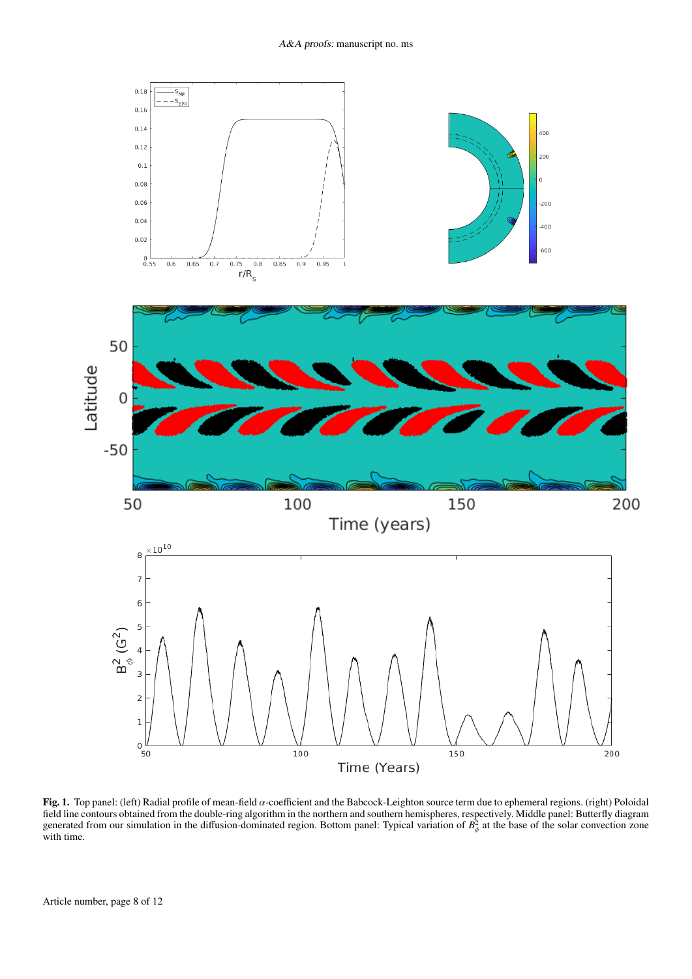

Fig. 1. Top panel: (left) Radial profile of mean-field  $\alpha$ -coefficient and the Babcock-Leighton source term due to ephemeral regions. (right) Poloidal field line contours obtained from the double-ring algorithm in the northern and southern hemispheres, respectively. Middle panel: Butterfly diagram generated from our simulation in the diffusion-dominated region. Bottom panel: Typical variation of  $B^2_{\hat{\theta}}$  at the base of the solar convection zone φ with time.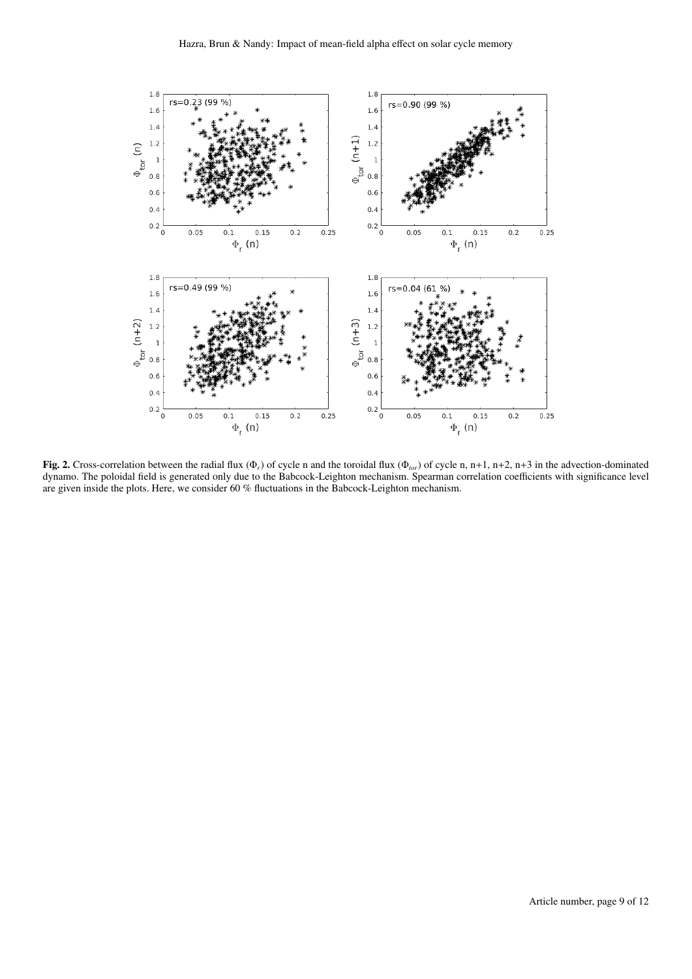

Fig. 2. Cross-correlation between the radial flux (Φ*r*) of cycle n and the toroidal flux (Φ*tor*) of cycle n, n+1, n+2, n+3 in the advection-dominated dynamo. The poloidal field is generated only due to the Babcock-Leighton mechanism. Spearman correlation coefficients with significance level are given inside the plots. Here, we consider 60 % fluctuations in the Babcock-Leighton mechanism.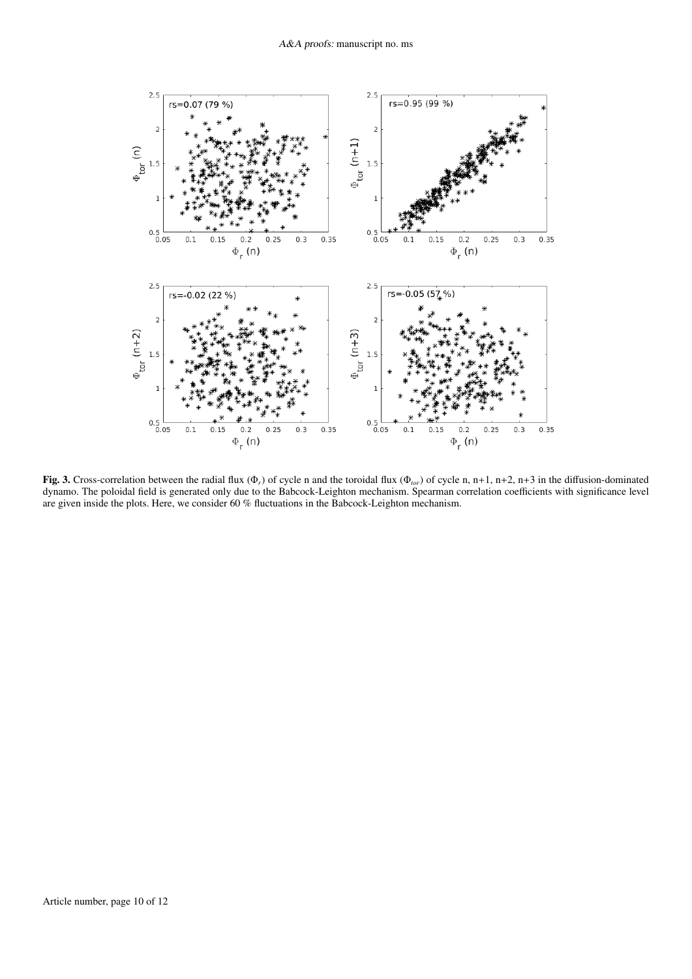

Fig. 3. Cross-correlation between the radial flux (Φ*r*) of cycle n and the toroidal flux (Φ*tor*) of cycle n, n+1, n+2, n+3 in the diffusion-dominated dynamo. The poloidal field is generated only due to the Babcock-Leighton mechanism. Spearman correlation coefficients with significance level are given inside the plots. Here, we consider 60 % fluctuations in the Babcock-Leighton mechanism.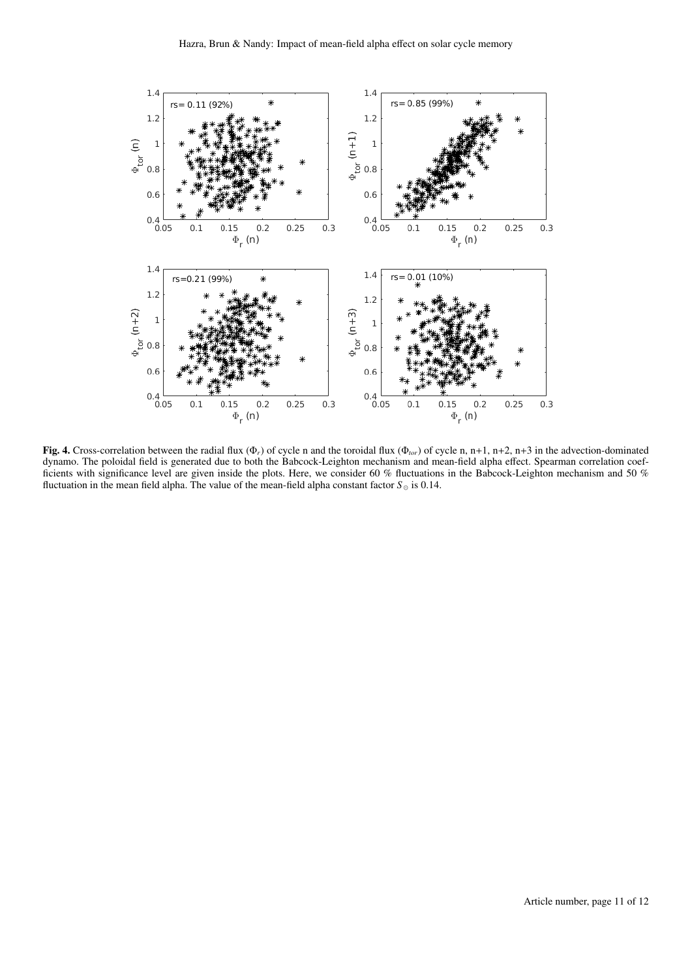

Fig. 4. Cross-correlation between the radial flux (Φ*r*) of cycle n and the toroidal flux (Φ*tor*) of cycle n, n+1, n+2, n+3 in the advection-dominated dynamo. The poloidal field is generated due to both the Babcock-Leighton mechanism and mean-field alpha effect. Spearman correlation coefficients with significance level are given inside the plots. Here, we consider 60 % fluctuations in the Babcock-Leighton mechanism and 50 % fluctuation in the mean field alpha. The value of the mean-field alpha constant factor  $S_{\odot}$  is 0.14.